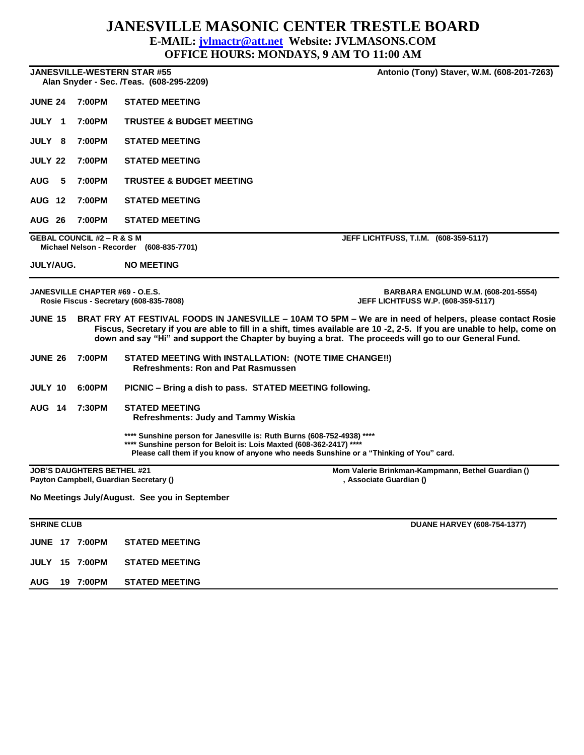## **JANESVILLE MASONIC CENTER TRESTLE BOARD**

## **E-MAIL: [jvlmactr@att.net](mailto:jvlmactr@att.net) Website: JVLMASONS.COM**

**OFFICE HOURS: MONDAYS, 9 AM TO 11:00 AM**

**JANESVILLE-WESTERN STAR #55 Antonio (Tony) Staver, W.M. (608-201-7263) Alan Snyder - Sec. /Teas. (608-295-2209) JUNE 24 7:00PM STATED MEETING JULY 1 7:00PM TRUSTEE & BUDGET MEETING JULY 8 7:00PM STATED MEETING JULY 22 7:00PM STATED MEETING AUG 5 7:00PM TRUSTEE & BUDGET MEETING AUG 12 7:00PM STATED MEETING AUG 26 7:00PM STATED MEETING GEBAL COUNCIL #2 – R & S M JEFF LICHTFUSS, T.I.M. (608-359-5117) Michael Nelson - Recorder (608-835-7701) JULY/AUG. NO MEETING JANESVILLE CHAPTER #69 - O.E.S. BARBARA ENGLUND W.M. (608-201-5554) Rosie Fiscus - Secretary (608-835-7808) JEFF LICHTFUSS W.P. (608-359-5117) JUNE 15 BRAT FRY AT FESTIVAL FOODS IN JANESVILLE – 10AM TO 5PM – We are in need of helpers, please contact Rosie Fiscus, Secretary if you are able to fill in a shift, times available are 10 -2, 2-5. If you are unable to help, come on down and say "Hi" and support the Chapter by buying a brat. The proceeds will go to our General Fund. JUNE 26 7:00PM STATED MEETING With INSTALLATION: (NOTE TIME CHANGE!!) Refreshments: Ron and Pat Rasmussen JULY 10 6:00PM PICNIC – Bring a dish to pass. STATED MEETING following. AUG 14 7:30PM STATED MEETING Refreshments: Judy and Tammy Wiskia \*\*\*\* Sunshine person for Janesville is: Ruth Burns (608-752-4938) \*\*\*\* \*\*\*\* Sunshine person for Beloit is: Lois Maxted (608-362-2417) \*\*\*\* Please call them if you know of anyone who needs Sunshine or a "Thinking of You" card. JOB'S DAUGHTERS BETHEL #21 Mom Valerie Brinkman-Kampmann, Bethel Guardian ()** Payton Campbell, Guardian Secretary () **All and Secretary ()** and Secretary and Secretary and Secretary and Secretary () and Secretary and Secretary and Secretary () and Secretary and Secretary and Secretary and Secretary **No Meetings July/August. See you in September SHRINE CLUB DUANE HARVEY (608-754-1377) JUNE 17 7:00PM STATED MEETING**

**JULY 15 7:00PM STATED MEETING AUG 19 7:00PM STATED MEETING**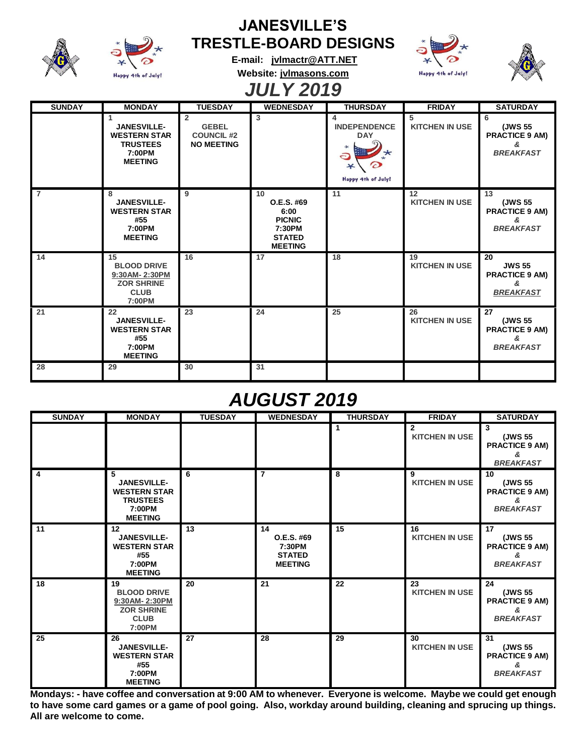| <b>JANESVILLE'S</b> |                                                                                               |                                                                          |                                                                                        |                                                              |                             |                                                                       |  |  |  |  |  |  |
|---------------------|-----------------------------------------------------------------------------------------------|--------------------------------------------------------------------------|----------------------------------------------------------------------------------------|--------------------------------------------------------------|-----------------------------|-----------------------------------------------------------------------|--|--|--|--|--|--|
|                     |                                                                                               |                                                                          | <b>TRESTLE-BOARD DESIGNS</b><br>E-mail: jvlmactr@ATT.NET                               |                                                              |                             |                                                                       |  |  |  |  |  |  |
|                     | Happy 4th of July!                                                                            | Website: jvlmasons.com                                                   |                                                                                        |                                                              | Happy 4th of July!          |                                                                       |  |  |  |  |  |  |
| <b>JULY 2019</b>    |                                                                                               |                                                                          |                                                                                        |                                                              |                             |                                                                       |  |  |  |  |  |  |
| <b>SUNDAY</b>       | <b>MONDAY</b>                                                                                 | <b>TUESDAY</b>                                                           | <b>WEDNESDAY</b>                                                                       | <b>THURSDAY</b>                                              | <b>FRIDAY</b>               | <b>SATURDAY</b>                                                       |  |  |  |  |  |  |
|                     | 1<br><b>JANESVILLE-</b><br><b>WESTERN STAR</b><br><b>TRUSTEES</b><br>7:00PM<br><b>MEETING</b> | $\overline{2}$<br><b>GEBEL</b><br><b>COUNCIL #2</b><br><b>NO MEETING</b> | $\overline{3}$                                                                         | 4<br><b>INDEPENDENCE</b><br><b>DAY</b><br>Happy 4th of July! | 5<br><b>KITCHEN IN USE</b>  | 6<br>(JWS 55<br><b>PRACTICE 9 AM)</b><br>&<br><b>BREAKFAST</b>        |  |  |  |  |  |  |
| $\overline{7}$      | 8<br><b>JANESVILLE-</b><br><b>WESTERN STAR</b><br>#55<br>7:00PM<br><b>MEETING</b>             | 9                                                                        | 10<br>O.E.S. #69<br>6:00<br><b>PICNIC</b><br>7:30PM<br><b>STATED</b><br><b>MEETING</b> | 11                                                           | 12<br><b>KITCHEN IN USE</b> | 13<br>(JWS 55<br><b>PRACTICE 9 AM)</b><br>æ.<br><b>BREAKFAST</b>      |  |  |  |  |  |  |
| 14                  | 15<br><b>BLOOD DRIVE</b><br>9:30AM-2:30PM<br><b>ZOR SHRINE</b><br><b>CLUB</b><br>7:00PM       | 16                                                                       | 17                                                                                     | 18                                                           | 19<br><b>KITCHEN IN USE</b> | 20<br><b>JWS 55</b><br><b>PRACTICE 9 AM)</b><br>&<br><b>BREAKFAST</b> |  |  |  |  |  |  |
| 21                  | 22<br><b>JANESVILLE-</b><br><b>WESTERN STAR</b><br>#55<br>7:00PM<br><b>MEETING</b>            | 23                                                                       | 24                                                                                     | 25                                                           | 26<br><b>KITCHEN IN USE</b> | 27<br>(JWS 55<br><b>PRACTICE 9 AM)</b><br>ጼ<br><b>BREAKFAST</b>       |  |  |  |  |  |  |
| 28                  | 29                                                                                            | 30                                                                       | 31                                                                                     |                                                              |                             |                                                                       |  |  |  |  |  |  |

## *AUGUST 2019*

| <b>SUNDAY</b>   | <b>MONDAY</b>                                                                                 | <b>TUESDAY</b> | <b>WEDNESDAY</b>                                              | <b>THURSDAY</b> | <b>FRIDAY</b>               | <b>SATURDAY</b>                                                 |
|-----------------|-----------------------------------------------------------------------------------------------|----------------|---------------------------------------------------------------|-----------------|-----------------------------|-----------------------------------------------------------------|
|                 |                                                                                               |                |                                                               |                 | 2<br><b>KITCHEN IN USE</b>  | 3<br>(JWS 55<br><b>PRACTICE 9 AM)</b><br>&<br><b>BREAKFAST</b>  |
| 4               | 5<br><b>JANESVILLE-</b><br><b>WESTERN STAR</b><br><b>TRUSTEES</b><br>7:00PM<br><b>MEETING</b> | 6              | $\overline{7}$                                                | 8               | 9<br><b>KITCHEN IN USE</b>  | 10<br>(JWS 55<br><b>PRACTICE 9 AM)</b><br>&<br><b>BREAKFAST</b> |
| 11              | 12<br><b>JANESVILLE-</b><br><b>WESTERN STAR</b><br>#55<br>7:00PM<br><b>MEETING</b>            | 13             | 14<br>O.E.S. #69<br>7:30PM<br><b>STATED</b><br><b>MEETING</b> | 15              | 16<br><b>KITCHEN IN USE</b> | 17<br>(JWS 55<br><b>PRACTICE 9 AM)</b><br>æ<br><b>BREAKFAST</b> |
| 18              | 19<br><b>BLOOD DRIVE</b><br>9:30AM-2:30PM<br><b>ZOR SHRINE</b><br><b>CLUB</b><br>7:00PM       | 20             | 21                                                            | 22              | 23<br><b>KITCHEN IN USE</b> | 24<br>(JWS 55<br><b>PRACTICE 9 AM)</b><br>&<br><b>BREAKFAST</b> |
| $\overline{25}$ | 26<br><b>JANESVILLE-</b><br><b>WESTERN STAR</b><br>#55<br>7:00PM<br><b>MEETING</b>            | 27             | 28                                                            | 29              | 30<br><b>KITCHEN IN USE</b> | 31<br>(JWS 55<br><b>PRACTICE 9 AM)</b><br>ጼ<br><b>BREAKFAST</b> |

**Mondays: - have coffee and conversation at 9:00 AM to whenever. Everyone is welcome. Maybe we could get enough to have some card games or a game of pool going. Also, workday around building, cleaning and sprucing up things. All are welcome to come.**